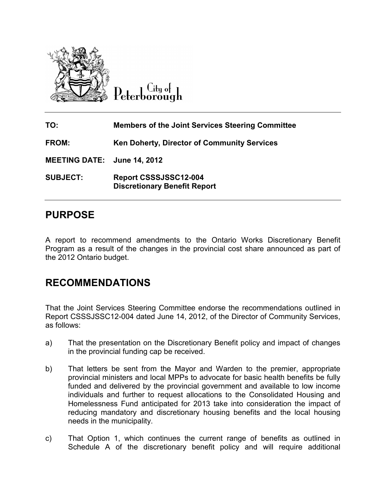

Citu o<del>l</del> eterborough

| TO:                         | <b>Members of the Joint Services Steering Committee</b>      |
|-----------------------------|--------------------------------------------------------------|
| <b>FROM:</b>                | <b>Ken Doherty, Director of Community Services</b>           |
| MEETING DATE: June 14, 2012 |                                                              |
| <b>SUBJECT:</b>             | Report CSSSJSSC12-004<br><b>Discretionary Benefit Report</b> |

# **PURPOSE**

A report to recommend amendments to the Ontario Works Discretionary Benefit Program as a result of the changes in the provincial cost share announced as part of the 2012 Ontario budget.

# **RECOMMENDATIONS**

That the Joint Services Steering Committee endorse the recommendations outlined in Report CSSSJSSC12-004 dated June 14, 2012, of the Director of Community Services, as follows:

- a) That the presentation on the Discretionary Benefit policy and impact of changes in the provincial funding cap be received.
- b) That letters be sent from the Mayor and Warden to the premier, appropriate provincial ministers and local MPPs to advocate for basic health benefits be fully funded and delivered by the provincial government and available to low income individuals and further to request allocations to the Consolidated Housing and Homelessness Fund anticipated for 2013 take into consideration the impact of reducing mandatory and discretionary housing benefits and the local housing needs in the municipality.
- c) That Option 1, which continues the current range of benefits as outlined in Schedule A of the discretionary benefit policy and will require additional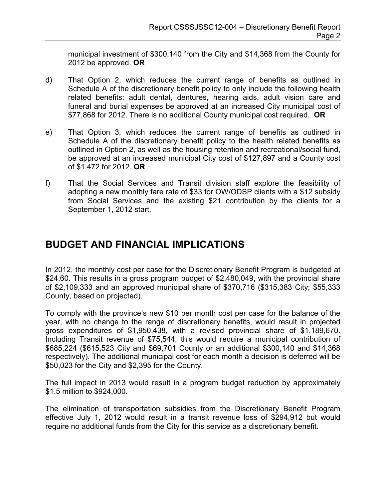municipal investment of \$300,140 from the City and \$14,368 from the County for 2012 be approved. **OR** 

- d) That Option 2, which reduces the current range of benefits as outlined in Schedule A of the discretionary benefit policy to only include the following health related benefits: adult dental, dentures, hearing aids, adult vision care and funeral and burial expenses be approved at an increased City municipal cost of \$77,868 for 2012. There is no additional County municipal cost required. **OR**
- e) That Option 3, which reduces the current range of benefits as outlined in Schedule A of the discretionary benefit policy to the health related benefits as outlined in Option 2, as well as the housing retention and recreational/social fund, be approved at an increased municipal City cost of \$127,897 and a County cost of \$1,472 for 2012. **OR**
- f) That the Social Services and Transit division staff explore the feasibility of adopting a new monthly fare rate of \$33 for OW/ODSP clients with a \$12 subsidy from Social Services and the existing \$21 contribution by the clients for a September 1, 2012 start.

# **BUDGET AND FINANCIAL IMPLICATIONS**

In 2012, the monthly cost per case for the Discretionary Benefit Program is budgeted at \$24.60. This results in a gross program budget of \$2,480,049, with the provincial share of \$2,109,333 and an approved municipal share of \$370,716 (\$315,383 City; \$55,333 County, based on projected).

To comply with the province's new \$10 per month cost per case for the balance of the year, with no change to the range of discretionary benefits, would result in projected gross expenditures of \$1,950,438, with a revised provincial share of \$1,189,670. Including Transit revenue of \$75,544, this would require a municipal contribution of \$685,224 (\$615,523 City and \$69,701 County or an additional \$300,140 and \$14,368 respectively). The additional municipal cost for each month a decision is deferred will be \$50,023 for the City and \$2,395 for the County.

The full impact in 2013 would result in a program budget reduction by approximately \$1.5 million to \$924,000.

The elimination of transportation subsidies from the Discretionary Benefit Program effective July 1, 2012 would result in a transit revenue loss of \$294,912 but would require no additional funds from the City for this service as a discretionary benefit.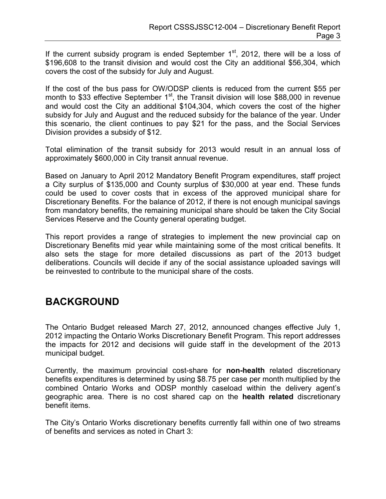If the current subsidy program is ended September  $1<sup>st</sup>$ , 2012, there will be a loss of \$196,608 to the transit division and would cost the City an additional \$56,304, which covers the cost of the subsidy for July and August.

If the cost of the bus pass for OW/ODSP clients is reduced from the current \$55 per month to \$33 effective September  $1<sup>st</sup>$ , the Transit division will lose \$88,000 in revenue and would cost the City an additional \$104,304, which covers the cost of the higher subsidy for July and August and the reduced subsidy for the balance of the year. Under this scenario, the client continues to pay \$21 for the pass, and the Social Services Division provides a subsidy of \$12.

Total elimination of the transit subsidy for 2013 would result in an annual loss of approximately \$600,000 in City transit annual revenue.

Based on January to April 2012 Mandatory Benefit Program expenditures, staff project a City surplus of \$135,000 and County surplus of \$30,000 at year end. These funds could be used to cover costs that in excess of the approved municipal share for Discretionary Benefits. For the balance of 2012, if there is not enough municipal savings from mandatory benefits, the remaining municipal share should be taken the City Social Services Reserve and the County general operating budget.

This report provides a range of strategies to implement the new provincial cap on Discretionary Benefits mid year while maintaining some of the most critical benefits. It also sets the stage for more detailed discussions as part of the 2013 budget deliberations. Councils will decide if any of the social assistance uploaded savings will be reinvested to contribute to the municipal share of the costs.

# **BACKGROUND**

The Ontario Budget released March 27, 2012, announced changes effective July 1, 2012 impacting the Ontario Works Discretionary Benefit Program. This report addresses the impacts for 2012 and decisions will guide staff in the development of the 2013 municipal budget.

Currently, the maximum provincial cost-share for **non-health** related discretionary benefits expenditures is determined by using \$8.75 per case per month multiplied by the combined Ontario Works and ODSP monthly caseload within the delivery agent's geographic area. There is no cost shared cap on the **health related** discretionary benefit items.

The City's Ontario Works discretionary benefits currently fall within one of two streams of benefits and services as noted in Chart 3: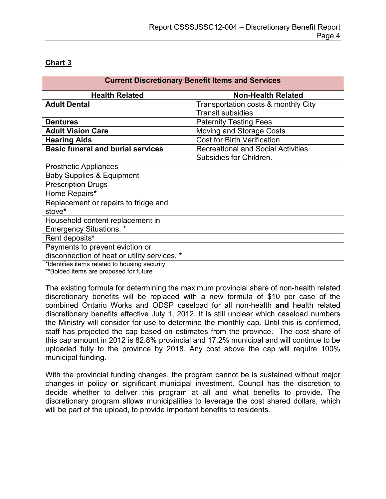## **Chart 3**

| <b>Current Discretionary Benefit Items and Services</b> |                                           |  |  |  |
|---------------------------------------------------------|-------------------------------------------|--|--|--|
| <b>Health Related</b>                                   | <b>Non-Health Related</b>                 |  |  |  |
| <b>Adult Dental</b>                                     | Transportation costs & monthly City       |  |  |  |
|                                                         | <b>Transit subsidies</b>                  |  |  |  |
| <b>Dentures</b>                                         | <b>Paternity Testing Fees</b>             |  |  |  |
| <b>Adult Vision Care</b>                                | Moving and Storage Costs                  |  |  |  |
| <b>Hearing Aids</b>                                     | <b>Cost for Birth Verification</b>        |  |  |  |
| <b>Basic funeral and burial services</b>                | <b>Recreational and Social Activities</b> |  |  |  |
|                                                         | Subsidies for Children.                   |  |  |  |
| <b>Prosthetic Appliances</b>                            |                                           |  |  |  |
| <b>Baby Supplies &amp; Equipment</b>                    |                                           |  |  |  |
| <b>Prescription Drugs</b>                               |                                           |  |  |  |
| Home Repairs*                                           |                                           |  |  |  |
| Replacement or repairs to fridge and                    |                                           |  |  |  |
| stove*                                                  |                                           |  |  |  |
| Household content replacement in                        |                                           |  |  |  |
| <b>Emergency Situations.</b> *                          |                                           |  |  |  |
| Rent deposits*                                          |                                           |  |  |  |
| Payments to prevent eviction or                         |                                           |  |  |  |
| disconnection of heat or utility services. *            |                                           |  |  |  |

\*Identifies items related to housing security

\*\*Bolded items are proposed for future

The existing formula for determining the maximum provincial share of non-health related discretionary benefits will be replaced with a new formula of \$10 per case of the combined Ontario Works and ODSP caseload for all non-health **and** health related discretionary benefits effective July 1, 2012. It is still unclear which caseload numbers the Ministry will consider for use to determine the monthly cap. Until this is confirmed, staff has projected the cap based on estimates from the province. The cost share of this cap amount in 2012 is 82.8% provincial and 17.2% municipal and will continue to be uploaded fully to the province by 2018. Any cost above the cap will require 100% municipal funding.

With the provincial funding changes, the program cannot be is sustained without major changes in policy **or** significant municipal investment. Council has the discretion to decide whether to deliver this program at all and what benefits to provide. The discretionary program allows municipalities to leverage the cost shared dollars, which will be part of the upload, to provide important benefits to residents.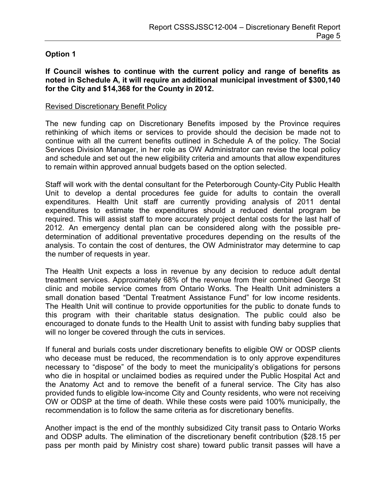## **Option 1**

**If Council wishes to continue with the current policy and range of benefits as noted in Schedule A, it will require an additional municipal investment of \$300,140 for the City and \$14,368 for the County in 2012.** 

### Revised Discretionary Benefit Policy

The new funding cap on Discretionary Benefits imposed by the Province requires rethinking of which items or services to provide should the decision be made not to continue with all the current benefits outlined in Schedule A of the policy. The Social Services Division Manager, in her role as OW Administrator can revise the local policy and schedule and set out the new eligibility criteria and amounts that allow expenditures to remain within approved annual budgets based on the option selected.

Staff will work with the dental consultant for the Peterborough County-City Public Health Unit to develop a dental procedures fee guide for adults to contain the overall expenditures. Health Unit staff are currently providing analysis of 2011 dental expenditures to estimate the expenditures should a reduced dental program be required. This will assist staff to more accurately project dental costs for the last half of 2012. An emergency dental plan can be considered along with the possible predetermination of additional preventative procedures depending on the results of the analysis. To contain the cost of dentures, the OW Administrator may determine to cap the number of requests in year.

The Health Unit expects a loss in revenue by any decision to reduce adult dental treatment services. Approximately 68% of the revenue from their combined George St clinic and mobile service comes from Ontario Works. The Health Unit administers a small donation based "Dental Treatment Assistance Fund" for low income residents. The Health Unit will continue to provide opportunities for the public to donate funds to this program with their charitable status designation. The public could also be encouraged to donate funds to the Health Unit to assist with funding baby supplies that will no longer be covered through the cuts in services.

If funeral and burials costs under discretionary benefits to eligible OW or ODSP clients who decease must be reduced, the recommendation is to only approve expenditures necessary to "dispose" of the body to meet the municipality's obligations for persons who die in hospital or unclaimed bodies as required under the Public Hospital Act and the Anatomy Act and to remove the benefit of a funeral service. The City has also provided funds to eligible low-income City and County residents, who were not receiving OW or ODSP at the time of death. While these costs were paid 100% municipally, the recommendation is to follow the same criteria as for discretionary benefits.

Another impact is the end of the monthly subsidized City transit pass to Ontario Works and ODSP adults. The elimination of the discretionary benefit contribution (\$28.15 per pass per month paid by Ministry cost share) toward public transit passes will have a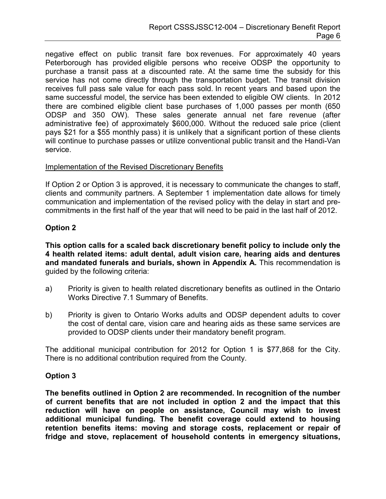negative effect on public transit fare box revenues. For approximately 40 years Peterborough has provided eligible persons who receive ODSP the opportunity to purchase a transit pass at a discounted rate. At the same time the subsidy for this service has not come directly through the transportation budget. The transit division receives full pass sale value for each pass sold. In recent years and based upon the same successful model, the service has been extended to eligible OW clients. In 2012 there are combined eligible client base purchases of 1,000 passes per month (650 ODSP and 350 OW). These sales generate annual net fare revenue (after administrative fee) of approximately \$600,000. Without the reduced sale price (client pays \$21 for a \$55 monthly pass) it is unlikely that a significant portion of these clients will continue to purchase passes or utilize conventional public transit and the Handi-Van service.

#### Implementation of the Revised Discretionary Benefits

If Option 2 or Option 3 is approved, it is necessary to communicate the changes to staff, clients and community partners. A September 1 implementation date allows for timely communication and implementation of the revised policy with the delay in start and precommitments in the first half of the year that will need to be paid in the last half of 2012.

### **Option 2**

**This option calls for a scaled back discretionary benefit policy to include only the 4 health related items: adult dental, adult vision care, hearing aids and dentures and mandated funerals and burials, shown in Appendix A.** This recommendation is guided by the following criteria:

- a) Priority is given to health related discretionary benefits as outlined in the Ontario Works Directive 7.1 Summary of Benefits.
- b) Priority is given to Ontario Works adults and ODSP dependent adults to cover the cost of dental care, vision care and hearing aids as these same services are provided to ODSP clients under their mandatory benefit program.

The additional municipal contribution for 2012 for Option 1 is \$77,868 for the City. There is no additional contribution required from the County.

### **Option 3**

**The benefits outlined in Option 2 are recommended. In recognition of the number of current benefits that are not included in option 2 and the impact that this reduction will have on people on assistance, Council may wish to invest additional municipal funding. The benefit coverage could extend to housing retention benefits items: moving and storage costs, replacement or repair of fridge and stove, replacement of household contents in emergency situations,**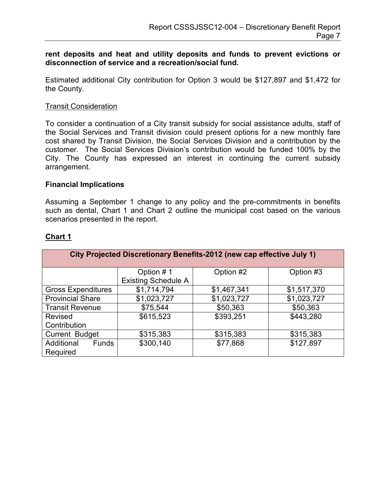**rent deposits and heat and utility deposits and funds to prevent evictions or disconnection of service and a recreation/social fund.** 

Estimated additional City contribution for Option 3 would be \$127,897 and \$1,472 for the County.

#### Transit Consideration

To consider a continuation of a City transit subsidy for social assistance adults, staff of the Social Services and Transit division could present options for a new monthly fare cost shared by Transit Division, the Social Services Division and a contribution by the customer. The Social Services Division's contribution would be funded 100% by the City. The County has expressed an interest in continuing the current subsidy arrangement.

#### **Financial Implications**

Assuming a September 1 change to any policy and the pre-commitments in benefits such as dental, Chart 1 and Chart 2 outline the municipal cost based on the various scenarios presented in the report.

| City Projected Discretionary Benefits-2012 (new cap effective July 1) |                            |             |             |  |  |
|-----------------------------------------------------------------------|----------------------------|-------------|-------------|--|--|
|                                                                       | Option #1                  | Option #2   | Option #3   |  |  |
|                                                                       | <b>Existing Schedule A</b> |             |             |  |  |
| <b>Gross Expenditures</b>                                             | \$1,714,794                | \$1,467,341 | \$1,517,370 |  |  |
| <b>Provincial Share</b>                                               | \$1,023,727                | \$1,023,727 | \$1,023,727 |  |  |
| <b>Transit Revenue</b>                                                | \$75,544                   | \$50,363    | \$50,363    |  |  |
| <b>Revised</b>                                                        | \$615,523                  | \$393,251   | \$443,280   |  |  |
| Contribution                                                          |                            |             |             |  |  |
| Current Budget                                                        | \$315,383                  | \$315,383   | \$315,383   |  |  |
| Additional<br><b>Funds</b><br>Required                                | \$300,140                  | \$77,868    | \$127,897   |  |  |

### **Chart 1**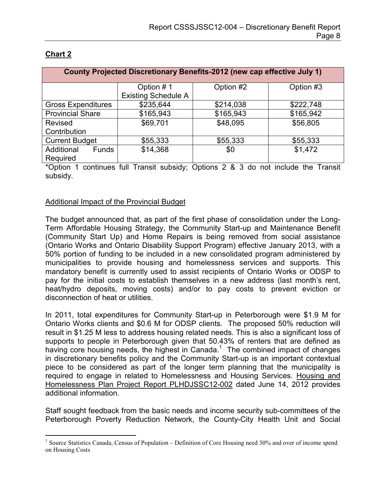| County Projected Discretionary Benefits-2012 (new cap effective July 1) |                            |           |           |  |  |
|-------------------------------------------------------------------------|----------------------------|-----------|-----------|--|--|
|                                                                         | Option #1                  | Option #2 | Option #3 |  |  |
|                                                                         | <b>Existing Schedule A</b> |           |           |  |  |
| <b>Gross Expenditures</b>                                               | \$235,644                  | \$214,038 | \$222,748 |  |  |
| <b>Provincial Share</b>                                                 | \$165,943                  | \$165,943 | \$165,942 |  |  |
| <b>Revised</b>                                                          | \$69,701                   | \$48,095  | \$56,805  |  |  |
| Contribution                                                            |                            |           |           |  |  |
| <b>Current Budget</b>                                                   | \$55,333                   | \$55,333  | \$55,333  |  |  |
| Additional<br><b>Funds</b>                                              | \$14,368                   | \$0       | \$1,472   |  |  |
| Required                                                                |                            |           |           |  |  |

## **Chart 2**

 $\overline{a}$ 

\*Option 1 continues full Transit subsidy; Options 2 & 3 do not include the Transit subsidy.

### Additional Impact of the Provincial Budget

The budget announced that, as part of the first phase of consolidation under the Long-Term Affordable Housing Strategy, the Community Start-up and Maintenance Benefit (Community Start Up) and Home Repairs is being removed from social assistance (Ontario Works and Ontario Disability Support Program) effective January 2013, with a 50% portion of funding to be included in a new consolidated program administered by municipalities to provide housing and homelessness services and supports. This mandatory benefit is currently used to assist recipients of Ontario Works or ODSP to pay for the initial costs to establish themselves in a new address (last month's rent, heat/hydro deposits, moving costs) and/or to pay costs to prevent eviction or disconnection of heat or utilities.

In 2011, total expenditures for Community Start-up in Peterborough were \$1.9 M for Ontario Works clients and \$0.6 M for ODSP clients. The proposed 50% reduction will result in \$1.25 M less to address housing related needs. This is also a significant loss of supports to people in Peterborough given that 50.43% of renters that are defined as having core housing needs, the highest in Canada. $1$  The combined impact of changes in discretionary benefits policy and the Community Start-up is an important contextual piece to be considered as part of the longer term planning that the municipality is required to engage in related to Homelessness and Housing Services. Housing and Homelessness Plan Project Report PLHDJSSC12-002 dated June 14, 2012 provides additional information.

Staff sought feedback from the basic needs and income security sub-committees of the Peterborough Poverty Reduction Network, the County-City Health Unit and Social

<sup>&</sup>lt;sup>1</sup> Source Statistics Canada, Census of Population – Definition of Core Housing need 30% and over of income spend on Housing Costs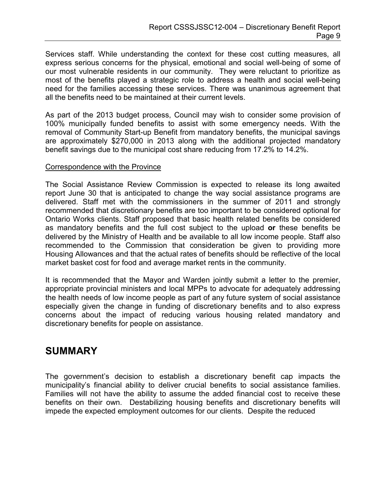Services staff. While understanding the context for these cost cutting measures, all express serious concerns for the physical, emotional and social well-being of some of our most vulnerable residents in our community. They were reluctant to prioritize as most of the benefits played a strategic role to address a health and social well-being need for the families accessing these services. There was unanimous agreement that all the benefits need to be maintained at their current levels.

As part of the 2013 budget process, Council may wish to consider some provision of 100% municipally funded benefits to assist with some emergency needs. With the removal of Community Start-up Benefit from mandatory benefits, the municipal savings are approximately \$270,000 in 2013 along with the additional projected mandatory benefit savings due to the municipal cost share reducing from 17.2% to 14.2%.

#### Correspondence with the Province

The Social Assistance Review Commission is expected to release its long awaited report June 30 that is anticipated to change the way social assistance programs are delivered. Staff met with the commissioners in the summer of 2011 and strongly recommended that discretionary benefits are too important to be considered optional for Ontario Works clients. Staff proposed that basic health related benefits be considered as mandatory benefits and the full cost subject to the upload **or** these benefits be delivered by the Ministry of Health and be available to all low income people. Staff also recommended to the Commission that consideration be given to providing more Housing Allowances and that the actual rates of benefits should be reflective of the local market basket cost for food and average market rents in the community.

It is recommended that the Mayor and Warden jointly submit a letter to the premier, appropriate provincial ministers and local MPPs to advocate for adequately addressing the health needs of low income people as part of any future system of social assistance especially given the change in funding of discretionary benefits and to also express concerns about the impact of reducing various housing related mandatory and discretionary benefits for people on assistance.

# **SUMMARY**

The government's decision to establish a discretionary benefit cap impacts the municipality's financial ability to deliver crucial benefits to social assistance families. Families will not have the ability to assume the added financial cost to receive these benefits on their own. Destabilizing housing benefits and discretionary benefits will impede the expected employment outcomes for our clients. Despite the reduced